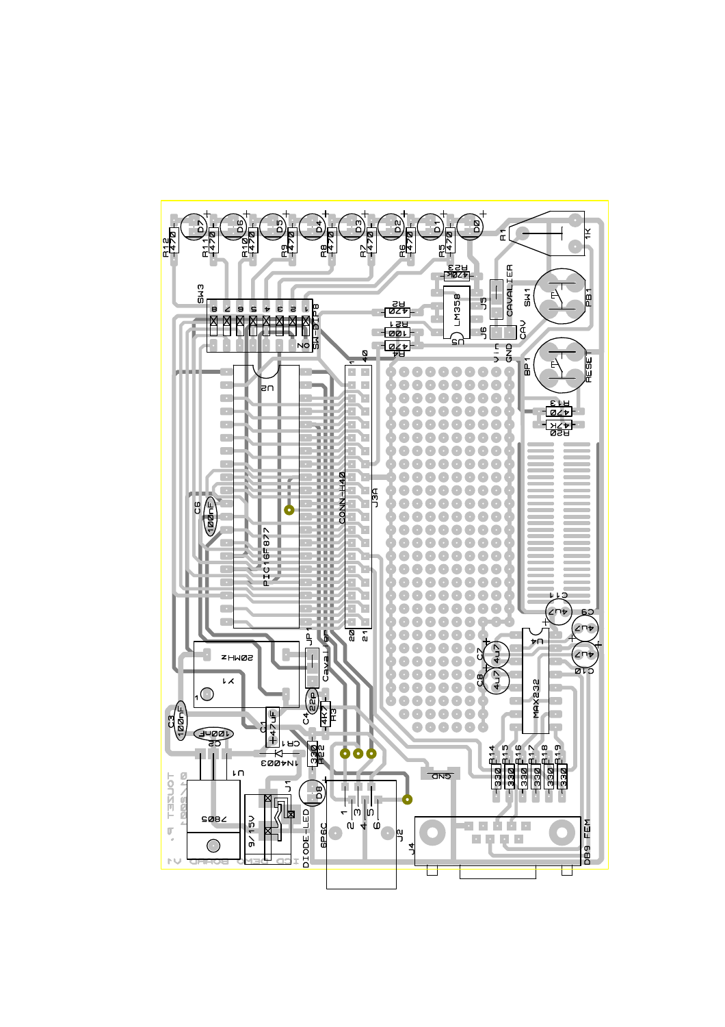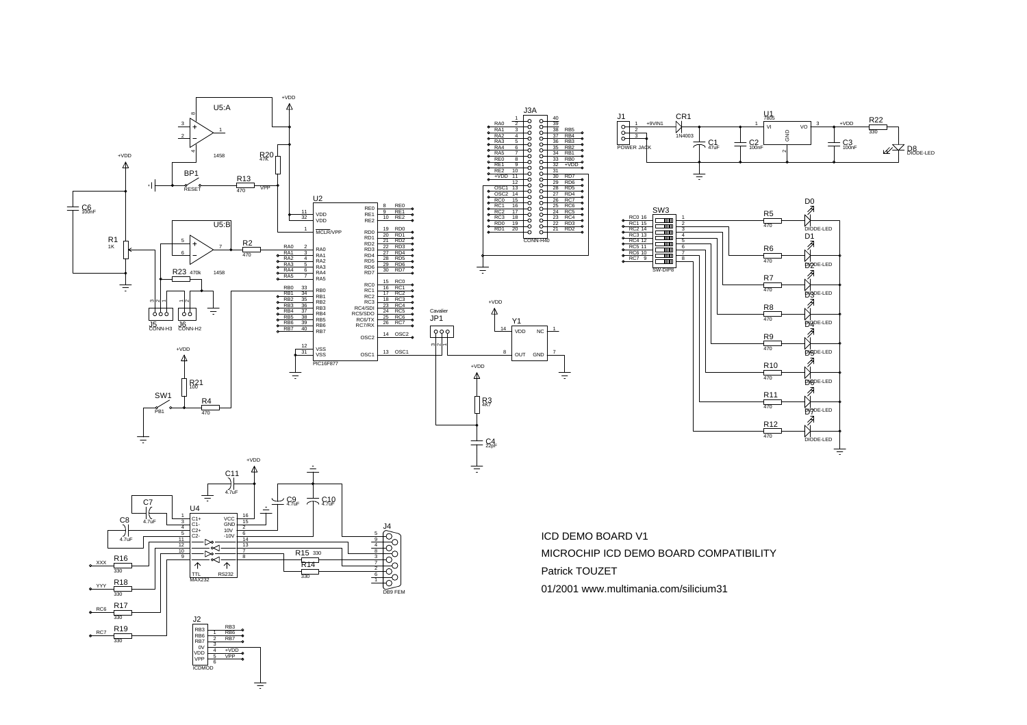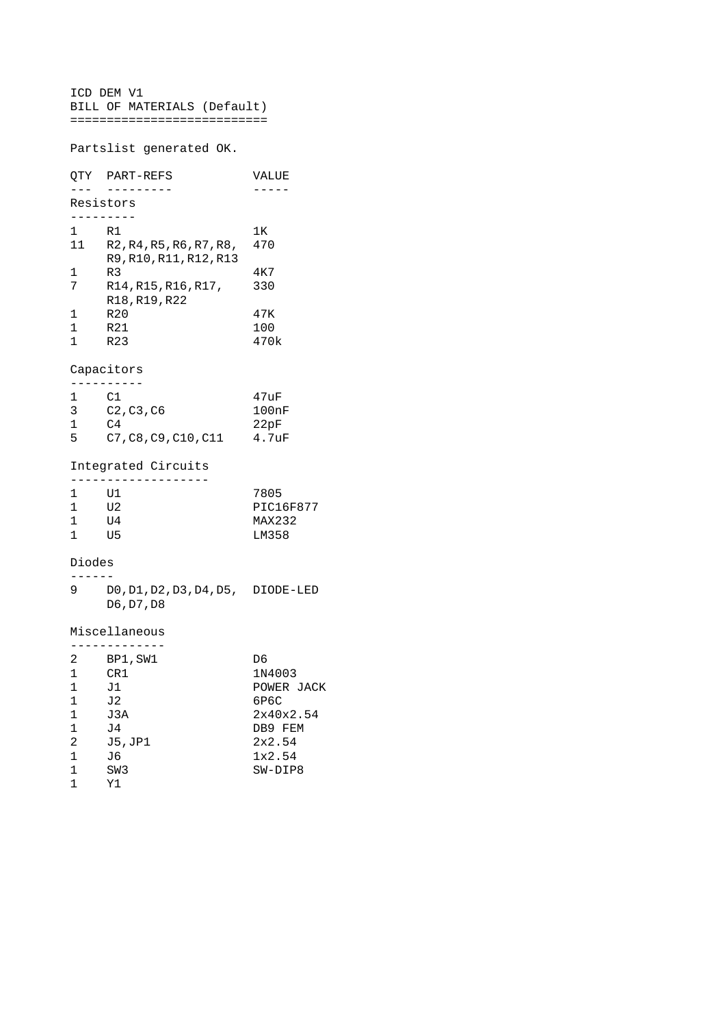ICD DEM V1 BILL OF MATERIALS (Default) =========================== Partslist generated OK. QTY PART-REFS VALUE --- --------- ----- Resistors --------- 1 R1 1K 11 R2,R4,R5,R6,R7,R8, 470 R9,R10,R11,R12,R13 1 R3 4K7 7 R14,R15,R16,R17, 330 R18,R19,R22 1 R20 47K 1 R21 100 1 R23 470k Capacitors ---------- 1 C1 47uF 3 C2,C3,C6 100nF 1 C4 22pF 5 C7,C8,C9,C10,C11 4.7uF Integrated Circuits ------------------- 1 U1 7805<br>1 U2 PIC16 PIC16F877 1 U4 MAX232<br>1 U5 LM358 LM358 Diodes ------ 9 D0,D1,D2,D3,D4,D5, DIODE-LED D6,D7,D8 Miscellaneous ------------- 2 BP1,SW1 D6 1 CR1 1N4003 1 J1 POWER JACK 1 J2 6P6C 1 J3A 2x40x2.54 1 J4 DB9 FEM 2 J5,JP1 2x2.54 1 J6 1x2.54 1 SW3 SW-DIP8 1 Y1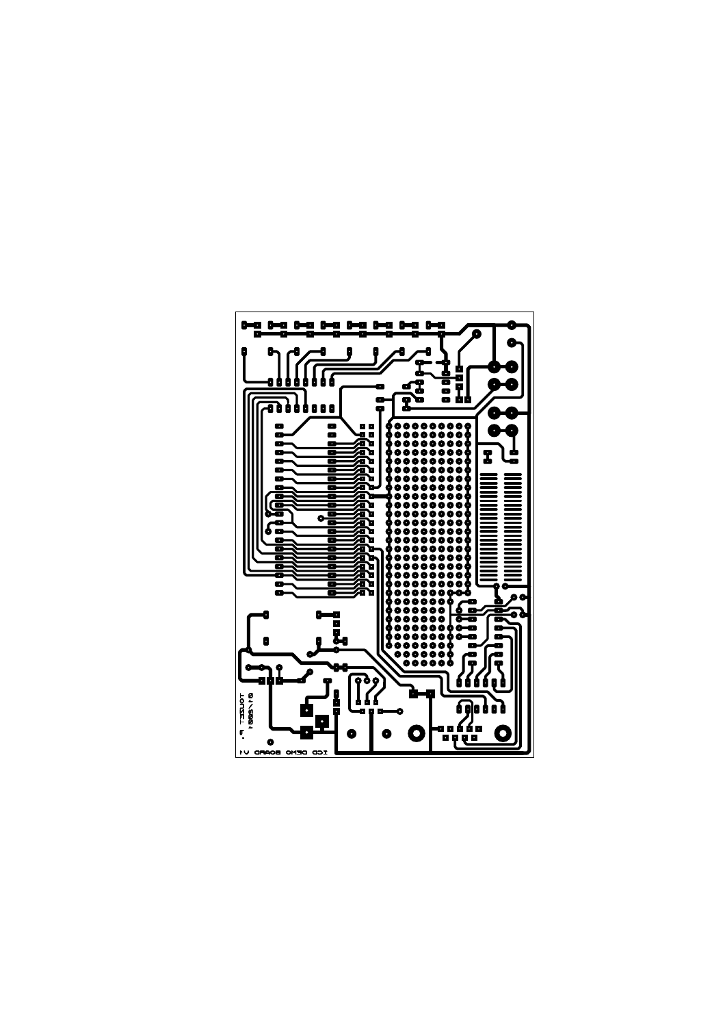